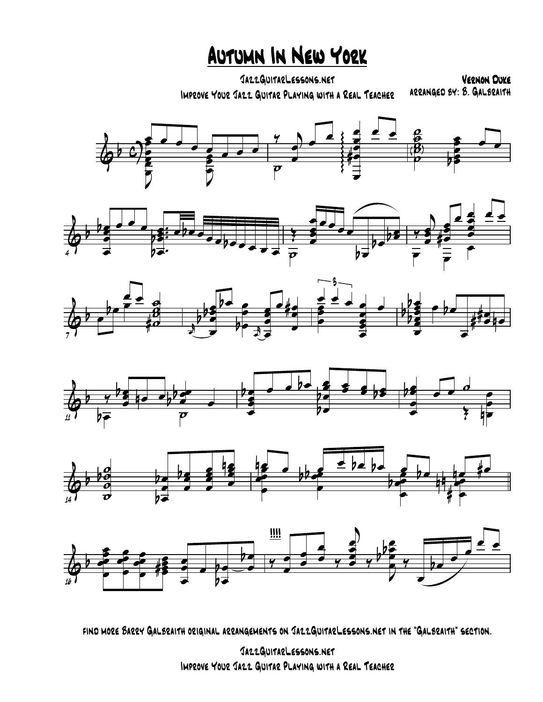Autumn In New York

JazzGuitarLessons.net IMPROVE YOUR JAZZ GUITAR PLAYING WITH A REAL TEACHER

VERNON DUKE<br>ARRANGED 84: 8. GALBRAITH













find more Barry Galbraith original arrangements on JazzGuitarLessons.net in the "Galbraith" section.

JazzGuitarLessons.net Improve Your Jazz Guitar Playing with a Real Teacher